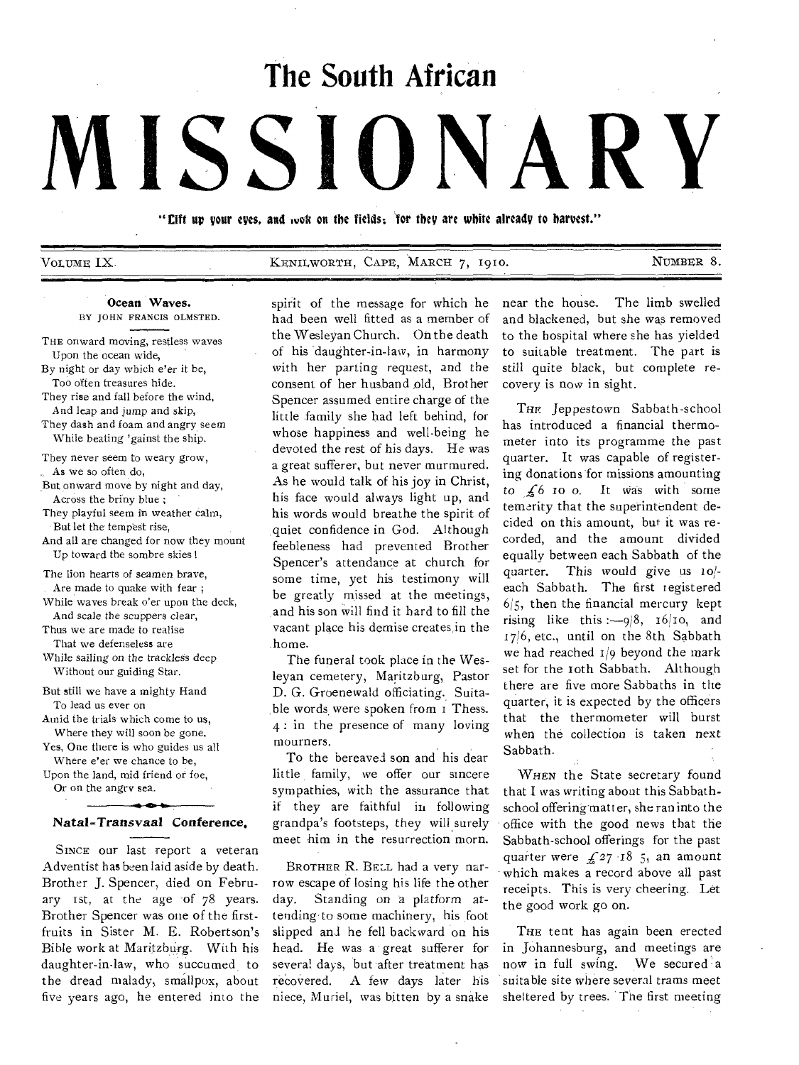# **The South African**

# **MISSIONARY**

"Lift up your eyes, and wok on the fields; for they are white already to harvest."

VOLUME IX. KENILWORTH, CAPE, MARCH 7, 19to. NUMBER 8.

#### Ocean Waves. BY JOHN FRANCIS OLMSTED.

- THE onward moving, restless waves Upon the ocean wide,
- By night or day which e'er it be, Too often treasures hide.
- They rise and fall before the wind, And leap and jump and skip,
- They dash and foam and angry seem While beating 'gainst the ship.
- They never seem to weary grow, As we so often do,
- But onward move by night and day, Across the briny blue ;
- They playful seem in weather calm, But let the tempest rise,
- And all are changed for now they mount Up toward the sombre skies I
- The lion hearts of seamen brave, Are made to quake with fear ;
- While waves break o'er upon the deck, And scale the scuppers clear,
- Thus we are made to realise That we defenseless are
- While sailing on the trackless deep Without our guiding Star.
- But still we have a mighty Hand To lead us ever on
- Amid the trials which come to us, Where they will soon be gone.
- Yes, One there is who guides us all
- Where e'er we chance to be, Upon the land, mid friend or foe, Or on the angry sea.

#### *<sup>B</sup>* o<sup>a</sup> Natal=Transvaal *Conference.*

SINCE our last report a veteran Adventist has been laid aside by death. Brother J. Spencer, died on February 1st, at the age of 78 years. Brother Spencer was one of the firstfruits in Sister M. E. Robertson's Bible work at Maritzburg. With his daughter-in-law, who succumed to the dread malady, smallpox, about five years ago, he entered into the spirit of the message for which he had been well fitted as a member of the Wesleyan Church. On the death of his 'daughter-in-law, in harmony with her parting request, and the consent of her husband old, Brother Spencer assumed entire charge of the little family she had left behind, for whose happiness and well-being he devoted the rest of his days. He was a great sufferer, but never murmured. As he would talk of his joy in Christ, his face would always light up, and his words would breathe the spirit of quiet confidence in God. Although feebleness had prevented Brother Spencer's attendance at church for some time, yet his testimony will be greatly missed at the meetings, and his son will find it hard to fill the vacant place his demise creates in the home.

The funeral took place in the Wesleyan cemetery, Maritzburg, Pastor D. G. Groenewald officiating. Suitable words were spoken from I Thess. 4 : in the presence of many loving mourners.

To the bereaved son and his dear little family, we offer our sincere sympathies, with the assurance that if they are faithful in following grandpa's footsteps, they will surely meet him in the resurrection morn.

BROTHER R. BELL had a very narrow escape of losing his life the other day. Standing on a platform attending to some machinery, his foot slipped and he fell backward on his head. He was a great sufferer for several days, but after treatment has recovered. A few days later his niece, Muriel, was bitten by a snake

near the house. The limb swelled and blackened, but she was removed to the hospital where she has yielded to suitable treatment. The part is still quite black, but complete recovery is now in sight.

THE Jeppestown Sabbath-school has introduced a financial thermometer into its programme the past quarter. It was capable of registering donations for missions amounting to  $\frac{1}{2}$  to o. It was with some temerity that the superintendent decided on this amount, but it was recorded, and the amount divided equally between each Sabbath of the quarter. This would give us to/ each Sabbath. The first registered 6/5, then the financial mercury kept rising like this :-9/8, 16/10, and 1716, etc., until on the 8th Sabbath we had reached  $1/9$  beyond the mark set for the 10th Sabbath. Although there are five more Sabbaths in the quarter, it is expected by the officers that the thermometer will burst when the collection is taken next Sabbath.

WHEN the State secretary found that I was writing about this Sabbathschool offering matter, she ran into the office with the good news that the Sabbath-school offerings for the past quarter were  $f(27)$  18 5, an amount which makes a record above all past receipts. This is very cheering. Let the good work go on.

THE tent has again been erected in Johannesburg, and meetings are now in full swing. We secured a suitable site where several trams meet sheltered by trees. The first meeting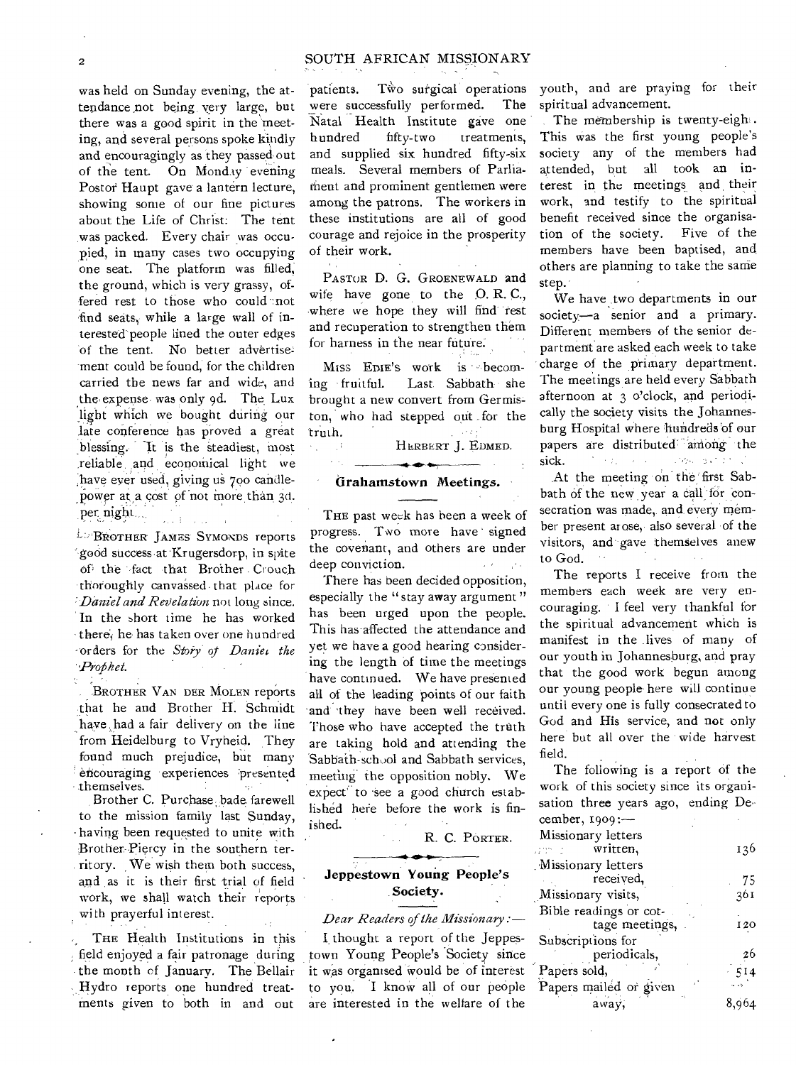#### 2 SOUTH AFRICAN MISSIONARY

was held on Sunday evening, the attendance ,not being very large, but there was a good spirit in the meeting, and several persons spoke kindly and encouragingly as they passed out of the tent. On Monday evening Postor Haupt gave a lantern lecture, showing some of our fine pictures about the Life of Christ: The tent was packed. Every chair was occupied, in many cases two occupying one seat. The platform was filled, the ground, which is very grassy, offered rest to those who could not find seats, while a large wall of interested'people lined the outer edges of the tent. No better advertise ment could be found, for the children carried the news far and wide, and the, expense, was only 9d. The Lux light which we bought during our late conference has proved a great ing. It is the steadiest, most ,reliable ,and economical light we have ever used, giving us 700 candlepower at a cost of not more than 3d. per night...

L<sup>L</sup> BROTHER JAMES SYMONDS reports good success at Krugersdorp, in spite of the fact that Brother Crouch thoroughly canvassed , that place for *Daniel and Revelation* not long since. In the short time he has worked there; he- has taken over one hundred •orders for the *Story' Daniel the . Profilzet.* 

**BROTHER VAN DER MOLEN reports** that he and Brother H. Schmidt have had a fair delivery on the line from Heidelburg to Vryheid. They found much prejudice, but many encouraging experiences presented t hemselves.

Brother C. Purchase, bade, farewell to the mission family last Sunday, - having been requested to unite with Brother Piercy in the southern territory. We wish them both success, and as it is their first trial of field work, we shall watch their reports with prayerful interest.

THE Health Institutions in this field enjoyed a fair patronage during the month of January. The Bellair Hydro reports one hundred treatments given to both in and out

patients. Two surgical operations were successfully performed. The Natal Health Institute gave one hundred fifty-two treatments, and supplied six hundred fifty-six meals. Several members of Parliarhent and prominent gentlemen were among the patrons. The workers in these institutions are all of good courage and rejoice in the prosperity of their work.

PASTOR D. G. GROENEWALD and wife have gone to the O. R. C., where we hope they will find rest and recuperation to strengthen them for harness in the near future

Miss EDIE's work is becoming fruitful. Last. Sabbath she brought a new convert from Germiston, who had stepped out for the truth.

**HERBERT** J. EDMED.

#### **Grahamstown Meetings.**

rij - A

THE past week has been a week of progress. Two more have signed the covenant, and others are under deep conviction.

There has been decided opposition, especially the "stay away argument" has been urged upon the people. This has affected the attendance and yet we have a good hearing considering the length of time the meetings have continued. We have presented all of the leading points of our faith and they have been well received. Those who have accepted the truth are taking hold and attending the 'Sabbath-school and Sabbath services, meeting the opposition nobly. We expect' to see a good church established hefe before the work is finished.

R. C. PORTER.

# $\rightarrow$   $\rightarrow$ **Jeppestown Young People's Society.**

*Dear Readers of the Missionary :*-

*1.* thought a report of the Jeppestown Young People's Society since it was organised Would be of interest to you. I know all of our people are interested in the welfare of the

youth, and are praying for their spiritual advancement.

The membership is twenty-eight. This was the first young people's society any of the members had attended, but all took an interest in the meetings and , their work, and testify to the spiritual benefit received since the organisation of the society. Five of the members have been baptised, and others are planning to take the same step.

We have two departments in our society—a senior and a primary. Different members of the senior department are asked each week to take charge of the primary department. The meetings are held every Sabbath afternoon at 3 o'clock, and periodically the society visits the Johannesburg Hospital where hundreds'of our papers are distributed<sup>\*\*</sup>among the sick. Download on C sick.

At the meeting on' the first Sabbath of the new year a call for consecration was made, and every member present arose, also several of the visitors, and gave themselves anew to God.

The reports I receive from the members each week are very encouraging. I feel very thankful for the spiritual advancement whien is manifest in the lives of many of our youth in Johannesburg, and pray that the good work begun among our young people- here will continue until every one is fully consecrated to God and His service, and not only here but all over the wide harvest field.

The following is a report of the work of this society since its organisation three years ago, ending December, 1909:— Missionary letters ann a written, 136 ,'Missionary letters received, 75 Missionary visits, 361 Bible readings or cottage meetings, 120 Subscriptions for 26 periodicals, Papers sold,  $\frac{514}{1}$ Papers mailed or given away; 8,964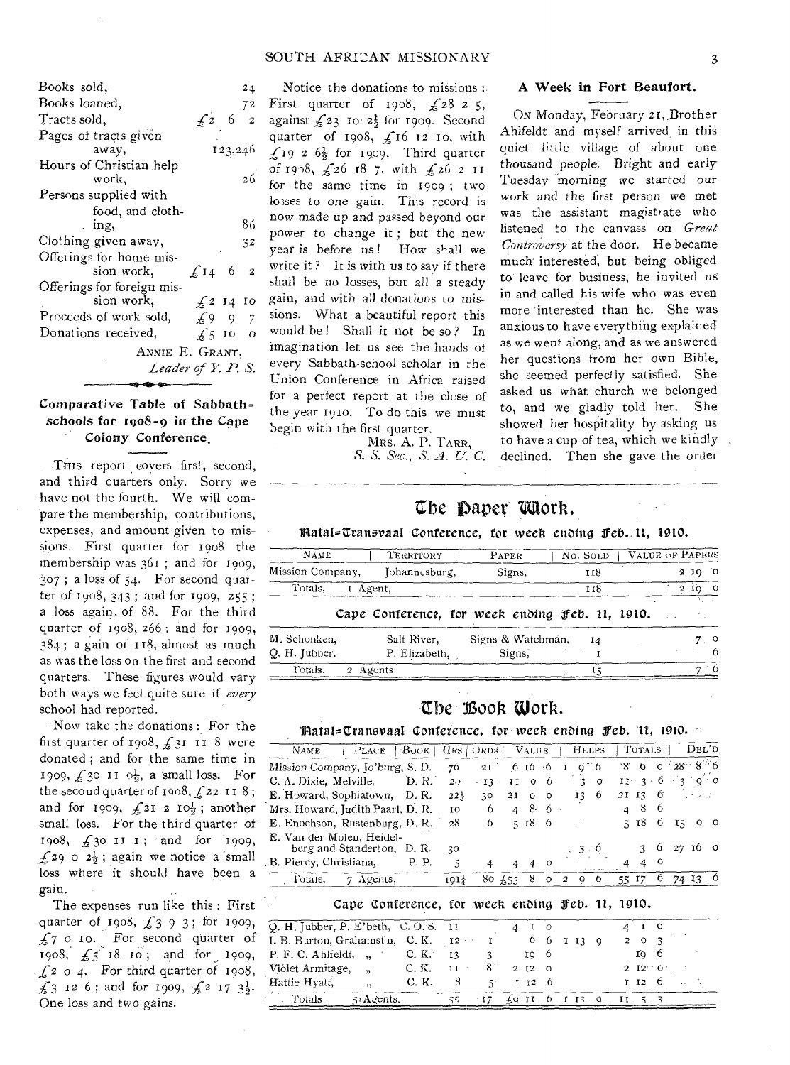#### SOUTH AFRICAN MISSIONARY 3

| Books sold,                |               | 24                  |
|----------------------------|---------------|---------------------|
| Books loaned,              |               | 72                  |
| Tracts sold,               | $\sqrt{2}$    | 6                   |
| Pages of tracts given      |               |                     |
| away,                      |               | 123,246             |
| Hours of Christian help    |               |                     |
| work,                      |               | 26                  |
| Persons supplied with      |               |                     |
| food, and cloth-           |               |                     |
| . ing,                     |               | 86                  |
| Clothing given away,       |               | 32                  |
| Offerings for home mis-    |               |                     |
| sion work,                 | $\sqrt{14}$   | - 6                 |
| Offerings for foreign mis- |               |                     |
| sion work,                 |               | $\frac{1}{2}$ 14 10 |
| Proceeds of work sold,     |               | £997                |
| Donations received,        | $\sqrt{5}$ 10 | $\circ$             |
| ANNIE E. GRANT,            |               |                     |
| Leader of Y. P. S.         |               |                     |
|                            |               |                     |
|                            |               |                     |

## Comparative Table of Sabbathschools for 1908-9 in the Cape Colony Conference,

THIS report covers first, second, and third quarters only. Sorry we have not the fourth. We will compare the membership, contributions, expenses, and amount given to missions. First quarter for 1908 the membership was  $361$ ; and for 1909, 3o7 ; a loss of 54. For second quarter of 1908, 343 ; and 'for 1909, 255 ; a loss again. of 88. For the third quarter of 1908, 266 : and for 1909,  $384$ ; a gain or  $118$ , almost as much as was the loss on the first and second quarters. These figures would vary both ways we feel quite sure if *every*  school had reported.

Now take the donations : For the first quarter of 1908,  $\frac{2}{31}$  II 8 were donated ; and for the same time in 1909,  $\frac{1}{2}$ 30 II  $0\frac{1}{2}$ , a small loss. For the second quarter of  $1908, f$  22 118; and for 1909,  $\mathcal{L}$ 21 2  $10\frac{1}{2}$ ; another small loss. For the third quarter of 1908,  $\frac{1}{2}30$  II I; and for 1909,  $\mathcal{L}$ 29 0 2 $\frac{1}{2}$ ; again we notice a small loss where it should have been a gain.

The expenses run like this : First quarter of 1908,  $\frac{1}{2}$  3 9 3; for 1909, o ro. For second quarter of 1908,  $\sqrt{5}$  18 10; and for 1909,  $f_2$  0 4. For third quarter of 1908,  $\pounds$  3 12 6; and for 1909,  $\pounds$  2 17 3 $\frac{1}{2}$ . One loss and two gains.

Notice the donations to missions : First quarter of  $1908$ ,  $\angle 2825$ , against  $f_2$ 3 To-  $2\frac{1}{2}$  for 1909. Second quarter of 1908,  $f_1$ 16 12 10, with  $\frac{1}{2}$  19 2 6 $\frac{1}{2}$  for 1909. Third quarter of 1908,  $\sqrt{26}$  18 7, with  $\sqrt{26}$  2 11 for the same time in 1909 ; two losses to one gain. This record is 86 now made *up* and passed beyond our power to change it; but the new year is before us ! How shall we write it? It is with us to say if there shall be no losses, but all a steady gain, and with all donations to missions. What a beautiful report this would be ! Shall it not be so ? In imagination let us see the hands of every Sabbath-school scholar *in* the Union Conference in Africa raised for a perfect report at the close of the year 1910. To do this we must begin with the first quarter.

MRS. A. P. TARR, *S. S. Sec., S. A. U. C.* 

#### A Week in Fort Beaufort.

ON Monday, February 2 r, Brother Ahlfeldt and myself arrived in this quiet little village of about one thousand people. Bright and early Tuesday 'morning we started our work and the first person we met was the assistant magistrate who listened to the canvass on *Great Controversy* at the door. He became much interested, but being obliged to leave for business, he invited us in and called his wife who was even more 'interested than he. She was anxious to have everything explained as we went along, and as we answered her questions from her own Bible, she seemed perfectly satisfied. She asked us what church we belonged to, and we gladly told her. She showed her hospitality by asking us to have a cup of tea, which we kindly declined. Then she gave the order

# Ebe 'paper 'Mott.

#### lilatal--Cransvaal Conference, for *week* en0ing feb. 11, 1910.

| <b>NAME</b>                   | TERRITORY                    | PAPER                                           | No. SOLD | VALUE OF PAPERS |              |     |                 |
|-------------------------------|------------------------------|-------------------------------------------------|----------|-----------------|--------------|-----|-----------------|
| Mission Company,              | Johannesburg,                | Signs.                                          | 118      |                 | $\mathbf{a}$ | 3 Q |                 |
| Totals.                       | I Agent,                     |                                                 | 118      |                 | $\mathbf{2}$ | 100 |                 |
|                               |                              | Cape Conference, for week ending Feb. 11, 1910. |          |                 |              |     |                 |
| M. Schonken,<br>Q. H. Jubber. | Salt River,<br>P. Elizabeth, | Signs & Watchman,<br>Signs,                     | 14       |                 |              |     | $^{\circ}$<br>b |
| Totals.                       | 2 Agents.                    |                                                 |          |                 |              |     | ∸ 6.            |

### Ebe-Book Work.

#### liatals-Zranovaal *Conference,* for *week* ending *feb.* 11, 1910.

| NAME                             | PLACE   BOOK   HRS   ORDS   VALUE |       |                  |                    |   |                  |         | <b>HELPS</b>                     | TOTALS 1             |   |    | DEL'D   |         |
|----------------------------------|-----------------------------------|-------|------------------|--------------------|---|------------------|---------|----------------------------------|----------------------|---|----|---------|---------|
| Mission Company, Jo'burg, S. D.  |                                   |       |                  | $76$ 21 6 16 6 1   |   |                  |         | $\sigma$ 6                       | $-8$ 6 0 $28 - 8$ 6  |   |    |         |         |
| C. A. Dixie, Melville, D. R.     |                                   |       | 20 <sub>1</sub>  | $-13 - 11 - 0 = 6$ |   |                  |         | $30^\circ$                       | $11 - 3 - 6 = 3 - 9$ |   |    |         |         |
| E. Howard, Sophiatown, D.R.      |                                   |       | $22\frac{1}{2}$  | 30                 |   | 21 0 0           |         | $13 \quad 6$                     | 21 13 $6 - 7$        |   |    |         |         |
| Mrs. Howard, Judith Paarl, D. R. |                                   |       | īΟ               | 6                  |   | $486 -$          |         |                                  | 4 8 6                |   |    |         |         |
| E. Enochson, Rustenburg, D. R.   |                                   |       | 28               | 6 <sup>6</sup>     |   | 5186             |         |                                  | 5186                 |   | 15 | $\circ$ | $\circ$ |
| E. Van der Molen, Heidel-        | berg and Standerton, D.R.         |       | 30               |                    |   |                  |         | 3.6                              | 3 6 27 16 0          |   |    |         |         |
| . B. Piercy, Christiana,         |                                   | P. P. | ۳,               | 4                  | 4 | $\boldsymbol{A}$ | $\circ$ |                                  | 4 0<br>$\mathbf{A}$  |   |    |         |         |
| Totals,                          | 7 Agents,                         |       | $101\frac{1}{2}$ | 80 $\sqrt{53}$     |   | -8               | $\circ$ | 9 <sub>0</sub><br>$\overline{2}$ | 55 17                | O |    | 74 13   |         |

#### Cape Conference, for week enbing feb. 11, 1910.

| Q. H. Jubber, P. E'beth, C. O. S. 11 |                      |          |                           |             |              | $\mathbf{I}$ 0 |       |  |                     |  |  |
|--------------------------------------|----------------------|----------|---------------------------|-------------|--------------|----------------|-------|--|---------------------|--|--|
| I. B. Burton, Grahamst'n, C. K. 12   |                      |          |                           |             | 66           |                | I I ? |  | $2 \quad 0 \quad 3$ |  |  |
| $P. F. C. Ahlfedt, \dots$            |                      | $C_K$ K. |                           |             |              | 10 6           |       |  | 10 6                |  |  |
| Viólet Armitage, "                   |                      | C. K.    | $\mathbf{1}$ $\mathbf{1}$ | $8^{\circ}$ | $2 \t12 \t0$ |                |       |  | $2 \t12 \t0'$       |  |  |
| Hattie Hyatt,                        | $\ddot{\phantom{a}}$ | C. K.    | 8                         | ボーー         |              | 1 12 0         |       |  | 1 12 6              |  |  |
| Totals                               | $\leq$ Agents.       |          |                           |             | 40 II        |                |       |  |                     |  |  |
|                                      |                      |          |                           |             |              |                |       |  |                     |  |  |